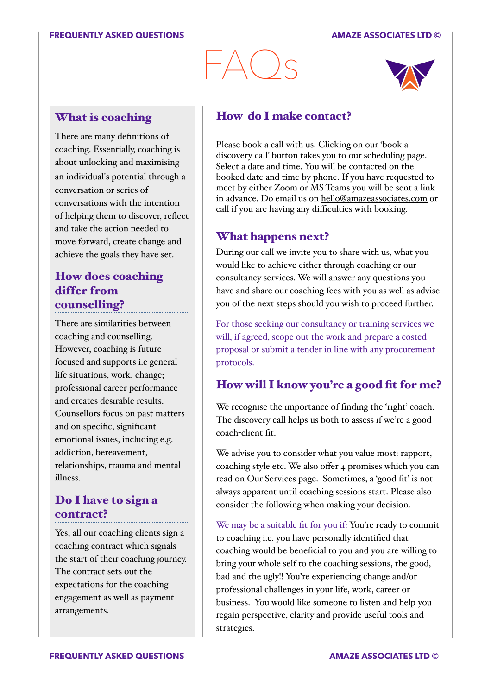# $-\triangle$ () $\varsigma$



#### What is coaching

There are many definitions of coaching. Essentially, coaching is about unlocking and maximising an individual's potential through a conversation or series of conversations with the intention of helping them to discover, reflect and take the action needed to move forward, create change and achieve the goals they have set.

## How does coaching differ from counselling?

There are similarities between coaching and counselling. However, coaching is future focused and supports i.e general life situations, work, change; professional career performance and creates desirable results. Counsellors focus on past matters and on specific, significant emotional issues, including e.g. addiction, bereavement, relationships, trauma and mental illness.

#### Do I have to sign a contract?

Yes, all our coaching clients sign a coaching contract which signals the start of their coaching journey. The contract sets out the expectations for the coaching engagement as well as payment arrangements.

#### How do I make contact?

Please book a call with us. Clicking on our 'book a discovery call' button takes you to our scheduling page. Select a date and time. You will be contacted on the booked date and time by phone. If you have requested to meet by either Zoom or MS Teams you will be sent a link in advance. Do email us on [hello@amazeassociates.com](mailto:hello@amazeassociates.com) or call if you are having any difficulties with booking.

## What happens next?

During our call we invite you to share with us, what you would like to achieve either through coaching or our consultancy services. We will answer any questions you have and share our coaching fees with you as well as advise you of the next steps should you wish to proceed further.

For those seeking our consultancy or training services we will, if agreed, scope out the work and prepare a costed proposal or submit a tender in line with any procurement protocols.

# How will I know you're a good fit for me?

We recognise the importance of finding the 'right' coach. The discovery call helps us both to assess if we're a good coach-client fit.

We advise you to consider what you value most: rapport, coaching style etc. We also offer 4 promises which you can read on Our Services page. Sometimes, a 'good fit' is not always apparent until coaching sessions start. Please also consider the following when making your decision.

We may be a suitable fit for you if: You're ready to commit to coaching i.e. you have personally identified that coaching would be beneficial to you and you are willing to bring your whole self to the coaching sessions, the good, bad and the ugly!! You're experiencing change and/or professional challenges in your life, work, career or business. You would like someone to listen and help you regain perspective, clarity and provide useful tools and strategies.